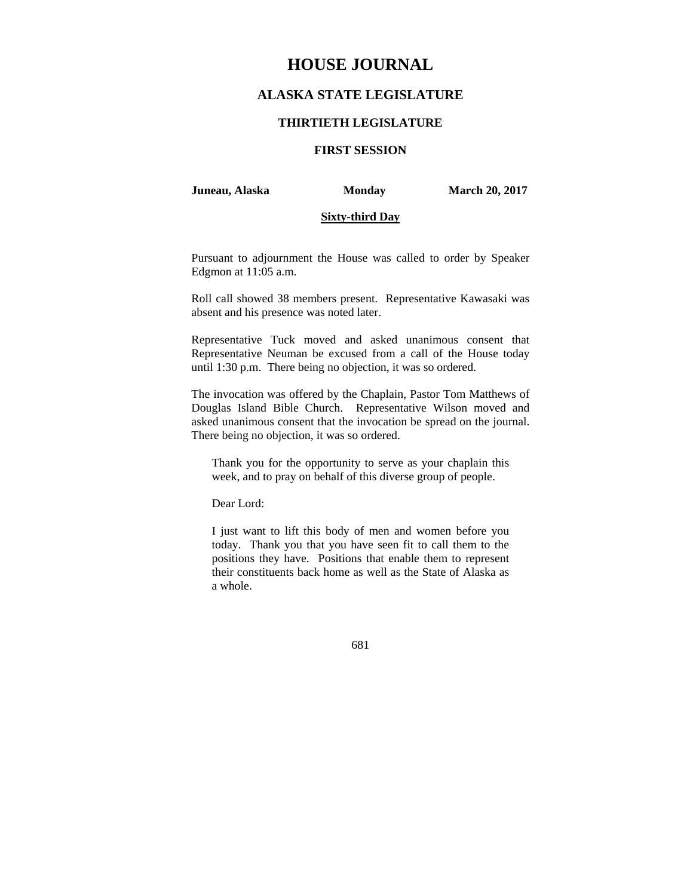# **HOUSE JOURNAL**

## **ALASKA STATE LEGISLATURE**

## **THIRTIETH LEGISLATURE**

## **FIRST SESSION**

**Juneau, Alaska Monday March 20, 2017** 

### **Sixty-third Day**

Pursuant to adjournment the House was called to order by Speaker Edgmon at 11:05 a.m.

Roll call showed 38 members present. Representative Kawasaki was absent and his presence was noted later.

Representative Tuck moved and asked unanimous consent that Representative Neuman be excused from a call of the House today until 1:30 p.m. There being no objection, it was so ordered.

The invocation was offered by the Chaplain, Pastor Tom Matthews of Douglas Island Bible Church. Representative Wilson moved and asked unanimous consent that the invocation be spread on the journal. There being no objection, it was so ordered.

Thank you for the opportunity to serve as your chaplain this week, and to pray on behalf of this diverse group of people.

Dear Lord:

I just want to lift this body of men and women before you today. Thank you that you have seen fit to call them to the positions they have. Positions that enable them to represent their constituents back home as well as the State of Alaska as a whole.

681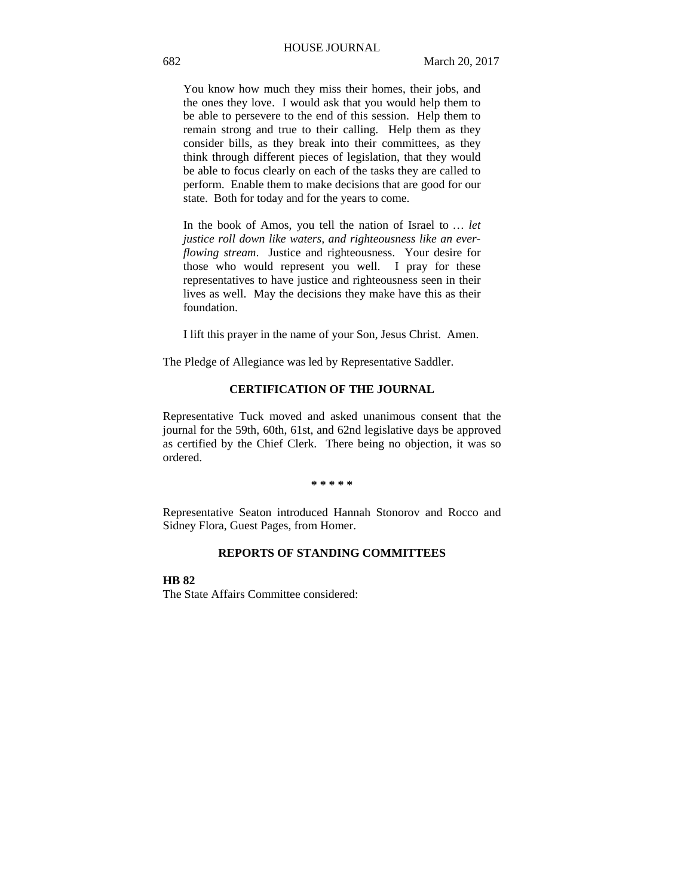You know how much they miss their homes, their jobs, and the ones they love. I would ask that you would help them to be able to persevere to the end of this session. Help them to remain strong and true to their calling. Help them as they consider bills, as they break into their committees, as they think through different pieces of legislation, that they would be able to focus clearly on each of the tasks they are called to perform. Enable them to make decisions that are good for our state. Both for today and for the years to come.

In the book of Amos, you tell the nation of Israel to *… let justice roll down like waters, and righteousness like an everflowing stream*. Justice and righteousness. Your desire for those who would represent you well. I pray for these representatives to have justice and righteousness seen in their lives as well. May the decisions they make have this as their foundation.

I lift this prayer in the name of your Son, Jesus Christ. Amen.

The Pledge of Allegiance was led by Representative Saddler.

## **CERTIFICATION OF THE JOURNAL**

Representative Tuck moved and asked unanimous consent that the journal for the 59th, 60th, 61st, and 62nd legislative days be approved as certified by the Chief Clerk. There being no objection, it was so ordered.

#### **\* \* \* \* \***

Representative Seaton introduced Hannah Stonorov and Rocco and Sidney Flora, Guest Pages, from Homer.

## **REPORTS OF STANDING COMMITTEES**

**HB 82**

The State Affairs Committee considered: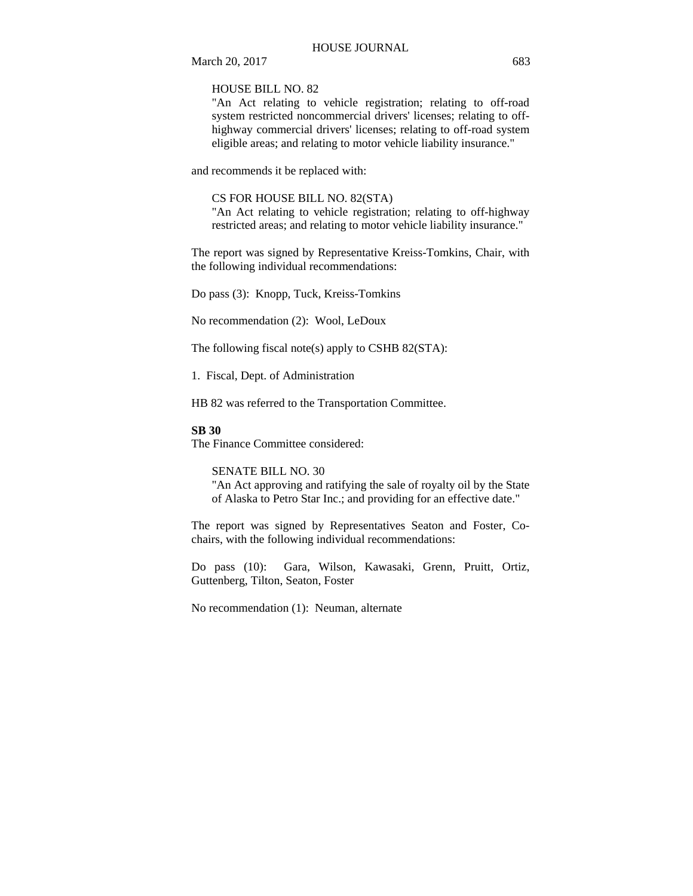March 20, 2017 683

HOUSE BILL NO. 82

"An Act relating to vehicle registration; relating to off-road system restricted noncommercial drivers' licenses; relating to offhighway commercial drivers' licenses; relating to off-road system eligible areas; and relating to motor vehicle liability insurance."

and recommends it be replaced with:

#### CS FOR HOUSE BILL NO. 82(STA)

"An Act relating to vehicle registration; relating to off-highway restricted areas; and relating to motor vehicle liability insurance."

The report was signed by Representative Kreiss-Tomkins, Chair, with the following individual recommendations:

Do pass (3): Knopp, Tuck, Kreiss-Tomkins

No recommendation (2): Wool, LeDoux

The following fiscal note(s) apply to CSHB 82(STA):

1. Fiscal, Dept. of Administration

HB 82 was referred to the Transportation Committee.

## **SB 30**

The Finance Committee considered:

SENATE BILL NO. 30

"An Act approving and ratifying the sale of royalty oil by the State of Alaska to Petro Star Inc.; and providing for an effective date."

The report was signed by Representatives Seaton and Foster, Cochairs, with the following individual recommendations:

Do pass (10): Gara, Wilson, Kawasaki, Grenn, Pruitt, Ortiz, Guttenberg, Tilton, Seaton, Foster

No recommendation (1): Neuman, alternate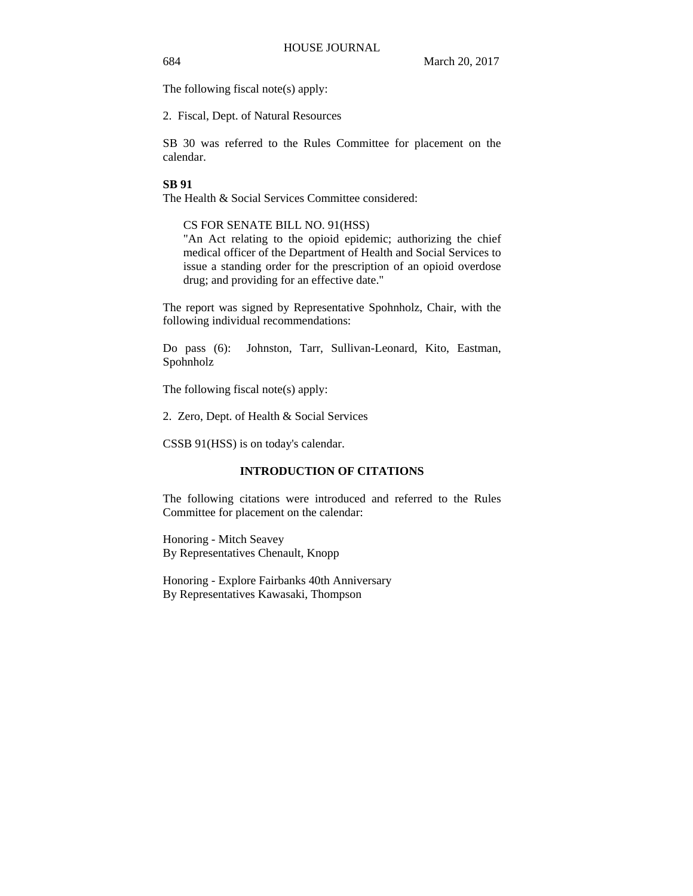The following fiscal note(s) apply:

2. Fiscal, Dept. of Natural Resources

SB 30 was referred to the Rules Committee for placement on the calendar.

## **SB 91**

The Health & Social Services Committee considered:

## CS FOR SENATE BILL NO. 91(HSS)

"An Act relating to the opioid epidemic; authorizing the chief medical officer of the Department of Health and Social Services to issue a standing order for the prescription of an opioid overdose drug; and providing for an effective date."

The report was signed by Representative Spohnholz, Chair, with the following individual recommendations:

Do pass (6): Johnston, Tarr, Sullivan-Leonard, Kito, Eastman, Spohnholz

The following fiscal note(s) apply:

2. Zero, Dept. of Health & Social Services

CSSB 91(HSS) is on today's calendar.

## **INTRODUCTION OF CITATIONS**

The following citations were introduced and referred to the Rules Committee for placement on the calendar:

Honoring - Mitch Seavey By Representatives Chenault, Knopp

Honoring - Explore Fairbanks 40th Anniversary By Representatives Kawasaki, Thompson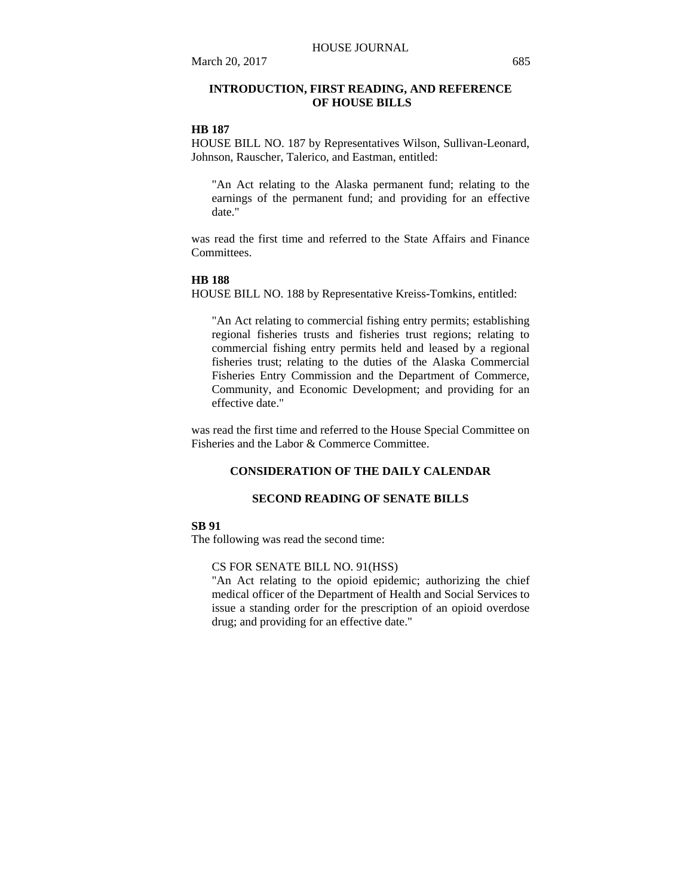## **INTRODUCTION, FIRST READING, AND REFERENCE OF HOUSE BILLS**

## **HB 187**

HOUSE BILL NO. 187 by Representatives Wilson, Sullivan-Leonard, Johnson, Rauscher, Talerico, and Eastman, entitled:

"An Act relating to the Alaska permanent fund; relating to the earnings of the permanent fund; and providing for an effective date."

was read the first time and referred to the State Affairs and Finance **Committees** 

#### **HB 188**

HOUSE BILL NO. 188 by Representative Kreiss-Tomkins, entitled:

"An Act relating to commercial fishing entry permits; establishing regional fisheries trusts and fisheries trust regions; relating to commercial fishing entry permits held and leased by a regional fisheries trust; relating to the duties of the Alaska Commercial Fisheries Entry Commission and the Department of Commerce, Community, and Economic Development; and providing for an effective date."

was read the first time and referred to the House Special Committee on Fisheries and the Labor & Commerce Committee.

## **CONSIDERATION OF THE DAILY CALENDAR**

## **SECOND READING OF SENATE BILLS**

## **SB 91**

The following was read the second time:

#### CS FOR SENATE BILL NO. 91(HSS)

"An Act relating to the opioid epidemic; authorizing the chief medical officer of the Department of Health and Social Services to issue a standing order for the prescription of an opioid overdose drug; and providing for an effective date."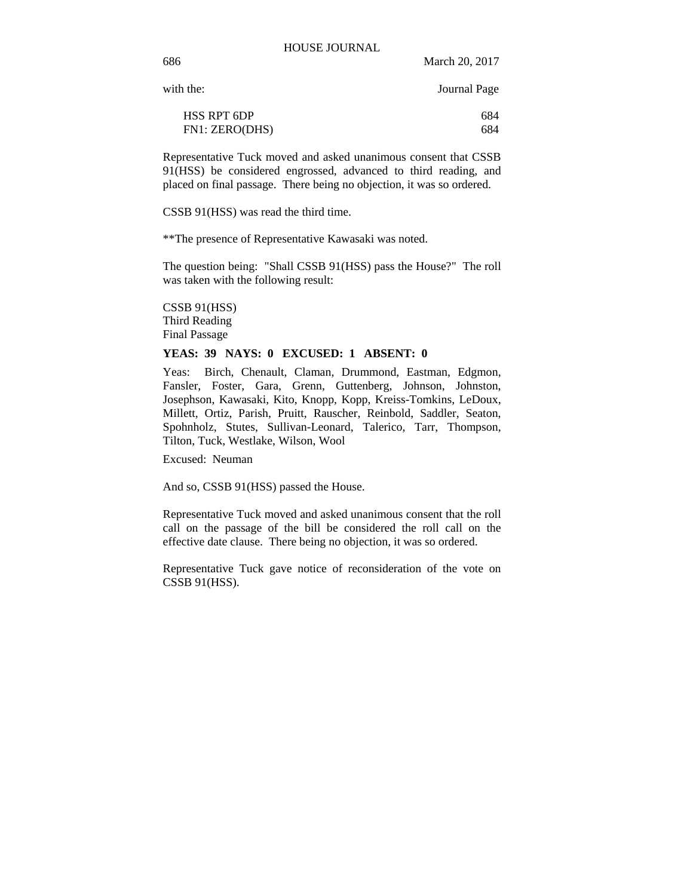with the: Journal Page

| <b>HSS RPT 6DP</b> | 684 |
|--------------------|-----|
| FN1: ZERO(DHS)     | 684 |

Representative Tuck moved and asked unanimous consent that CSSB 91(HSS) be considered engrossed, advanced to third reading, and placed on final passage. There being no objection, it was so ordered.

CSSB 91(HSS) was read the third time.

\*\*The presence of Representative Kawasaki was noted.

The question being: "Shall CSSB 91(HSS) pass the House?" The roll was taken with the following result:

CSSB 91(HSS) Third Reading Final Passage

#### **YEAS: 39 NAYS: 0 EXCUSED: 1 ABSENT: 0**

Yeas: Birch, Chenault, Claman, Drummond, Eastman, Edgmon, Fansler, Foster, Gara, Grenn, Guttenberg, Johnson, Johnston, Josephson, Kawasaki, Kito, Knopp, Kopp, Kreiss-Tomkins, LeDoux, Millett, Ortiz, Parish, Pruitt, Rauscher, Reinbold, Saddler, Seaton, Spohnholz, Stutes, Sullivan-Leonard, Talerico, Tarr, Thompson, Tilton, Tuck, Westlake, Wilson, Wool

Excused: Neuman

And so, CSSB 91(HSS) passed the House.

Representative Tuck moved and asked unanimous consent that the roll call on the passage of the bill be considered the roll call on the effective date clause. There being no objection, it was so ordered.

Representative Tuck gave notice of reconsideration of the vote on CSSB 91(HSS).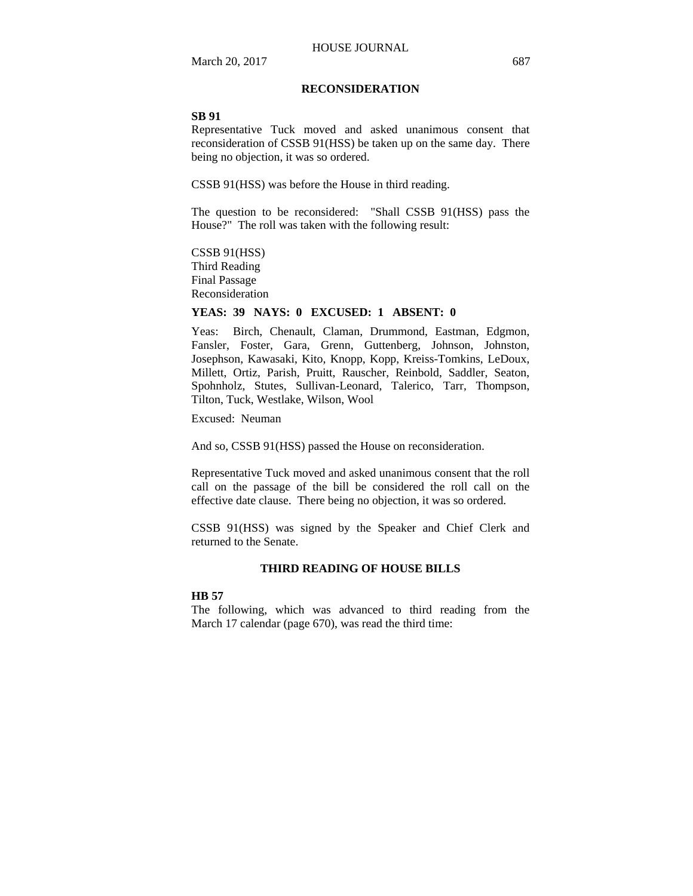## **RECONSIDERATION**

#### **SB 91**

Representative Tuck moved and asked unanimous consent that reconsideration of CSSB 91(HSS) be taken up on the same day. There being no objection, it was so ordered.

CSSB 91(HSS) was before the House in third reading.

The question to be reconsidered: "Shall CSSB 91(HSS) pass the House?" The roll was taken with the following result:

CSSB 91(HSS) Third Reading Final Passage Reconsideration

## **YEAS: 39 NAYS: 0 EXCUSED: 1 ABSENT: 0**

Yeas: Birch, Chenault, Claman, Drummond, Eastman, Edgmon, Fansler, Foster, Gara, Grenn, Guttenberg, Johnson, Johnston, Josephson, Kawasaki, Kito, Knopp, Kopp, Kreiss-Tomkins, LeDoux, Millett, Ortiz, Parish, Pruitt, Rauscher, Reinbold, Saddler, Seaton, Spohnholz, Stutes, Sullivan-Leonard, Talerico, Tarr, Thompson, Tilton, Tuck, Westlake, Wilson, Wool

Excused: Neuman

And so, CSSB 91(HSS) passed the House on reconsideration.

Representative Tuck moved and asked unanimous consent that the roll call on the passage of the bill be considered the roll call on the effective date clause. There being no objection, it was so ordered.

CSSB 91(HSS) was signed by the Speaker and Chief Clerk and returned to the Senate.

## **THIRD READING OF HOUSE BILLS**

#### **HB 57**

The following, which was advanced to third reading from the March 17 calendar (page 670), was read the third time: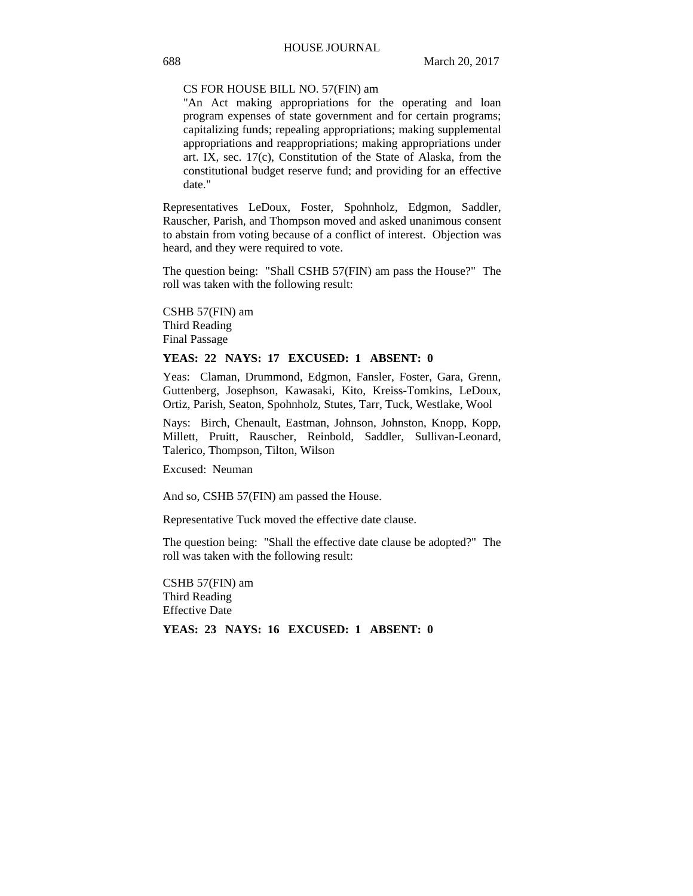#### CS FOR HOUSE BILL NO. 57(FIN) am

"An Act making appropriations for the operating and loan program expenses of state government and for certain programs; capitalizing funds; repealing appropriations; making supplemental appropriations and reappropriations; making appropriations under art. IX, sec. 17(c), Constitution of the State of Alaska, from the constitutional budget reserve fund; and providing for an effective date."

Representatives LeDoux, Foster, Spohnholz, Edgmon, Saddler, Rauscher, Parish, and Thompson moved and asked unanimous consent to abstain from voting because of a conflict of interest. Objection was heard, and they were required to vote.

The question being: "Shall CSHB 57(FIN) am pass the House?" The roll was taken with the following result:

CSHB 57(FIN) am Third Reading Final Passage

## **YEAS: 22 NAYS: 17 EXCUSED: 1 ABSENT: 0**

Yeas: Claman, Drummond, Edgmon, Fansler, Foster, Gara, Grenn, Guttenberg, Josephson, Kawasaki, Kito, Kreiss-Tomkins, LeDoux, Ortiz, Parish, Seaton, Spohnholz, Stutes, Tarr, Tuck, Westlake, Wool

Nays: Birch, Chenault, Eastman, Johnson, Johnston, Knopp, Kopp, Millett, Pruitt, Rauscher, Reinbold, Saddler, Sullivan-Leonard, Talerico, Thompson, Tilton, Wilson

Excused: Neuman

And so, CSHB 57(FIN) am passed the House.

Representative Tuck moved the effective date clause.

The question being: "Shall the effective date clause be adopted?" The roll was taken with the following result:

CSHB 57(FIN) am Third Reading Effective Date

**YEAS: 23 NAYS: 16 EXCUSED: 1 ABSENT: 0**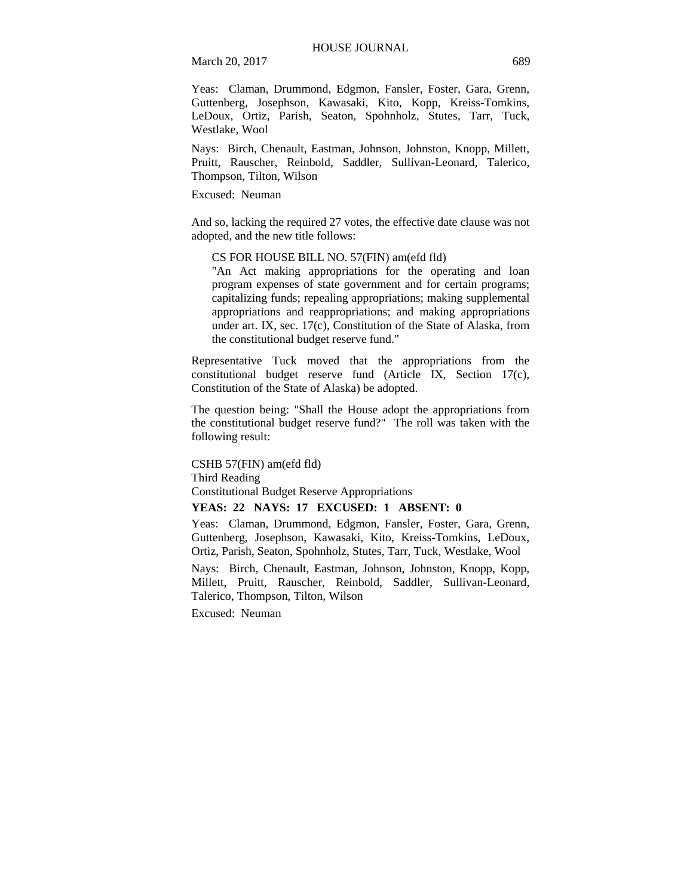March 20, 2017 689

Yeas: Claman, Drummond, Edgmon, Fansler, Foster, Gara, Grenn, Guttenberg, Josephson, Kawasaki, Kito, Kopp, Kreiss-Tomkins, LeDoux, Ortiz, Parish, Seaton, Spohnholz, Stutes, Tarr, Tuck, Westlake, Wool

Nays: Birch, Chenault, Eastman, Johnson, Johnston, Knopp, Millett, Pruitt, Rauscher, Reinbold, Saddler, Sullivan-Leonard, Talerico, Thompson, Tilton, Wilson

Excused: Neuman

And so, lacking the required 27 votes, the effective date clause was not adopted, and the new title follows:

CS FOR HOUSE BILL NO. 57(FIN) am(efd fld)

"An Act making appropriations for the operating and loan program expenses of state government and for certain programs; capitalizing funds; repealing appropriations; making supplemental appropriations and reappropriations; and making appropriations under art. IX, sec. 17(c), Constitution of the State of Alaska, from the constitutional budget reserve fund."

Representative Tuck moved that the appropriations from the constitutional budget reserve fund (Article IX, Section 17(c), Constitution of the State of Alaska) be adopted.

The question being: "Shall the House adopt the appropriations from the constitutional budget reserve fund?" The roll was taken with the following result:

CSHB 57(FIN) am(efd fld) Third Reading Constitutional Budget Reserve Appropriations

## **YEAS: 22 NAYS: 17 EXCUSED: 1 ABSENT: 0**

Yeas: Claman, Drummond, Edgmon, Fansler, Foster, Gara, Grenn, Guttenberg, Josephson, Kawasaki, Kito, Kreiss-Tomkins, LeDoux, Ortiz, Parish, Seaton, Spohnholz, Stutes, Tarr, Tuck, Westlake, Wool

Nays: Birch, Chenault, Eastman, Johnson, Johnston, Knopp, Kopp, Millett, Pruitt, Rauscher, Reinbold, Saddler, Sullivan-Leonard, Talerico, Thompson, Tilton, Wilson

Excused: Neuman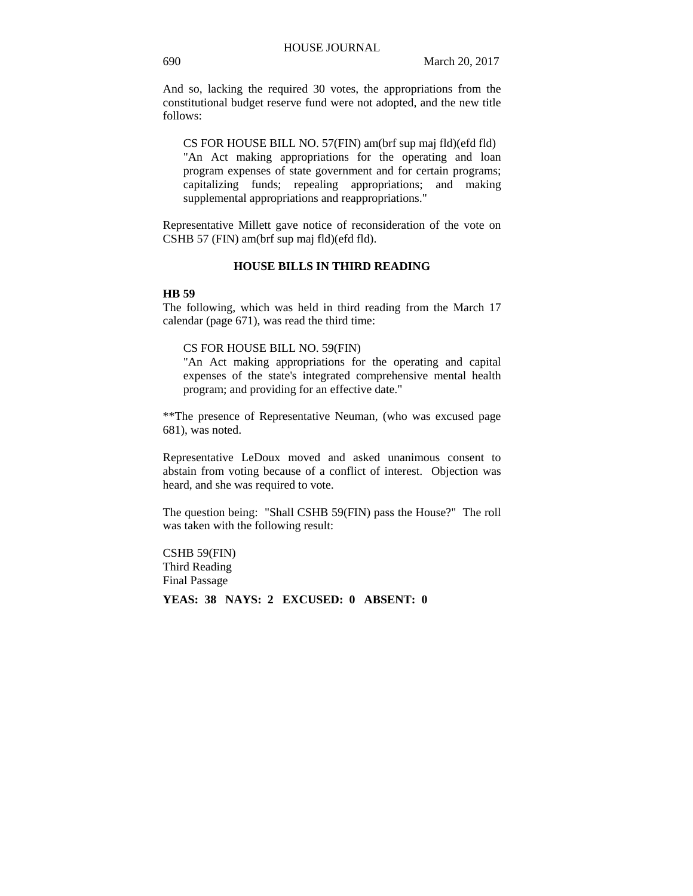And so, lacking the required 30 votes, the appropriations from the constitutional budget reserve fund were not adopted, and the new title follows:

CS FOR HOUSE BILL NO. 57(FIN) am(brf sup maj fld)(efd fld) "An Act making appropriations for the operating and loan program expenses of state government and for certain programs; capitalizing funds; repealing appropriations; and making supplemental appropriations and reappropriations."

Representative Millett gave notice of reconsideration of the vote on CSHB 57 (FIN) am(brf sup maj fld)(efd fld).

#### **HOUSE BILLS IN THIRD READING**

#### **HB 59**

The following, which was held in third reading from the March 17 calendar (page 671), was read the third time:

## CS FOR HOUSE BILL NO. 59(FIN)

"An Act making appropriations for the operating and capital expenses of the state's integrated comprehensive mental health program; and providing for an effective date."

\*\*The presence of Representative Neuman, (who was excused page 681), was noted.

Representative LeDoux moved and asked unanimous consent to abstain from voting because of a conflict of interest. Objection was heard, and she was required to vote.

The question being: "Shall CSHB 59(FIN) pass the House?" The roll was taken with the following result:

CSHB 59(FIN) Third Reading Final Passage

**YEAS: 38 NAYS: 2 EXCUSED: 0 ABSENT: 0**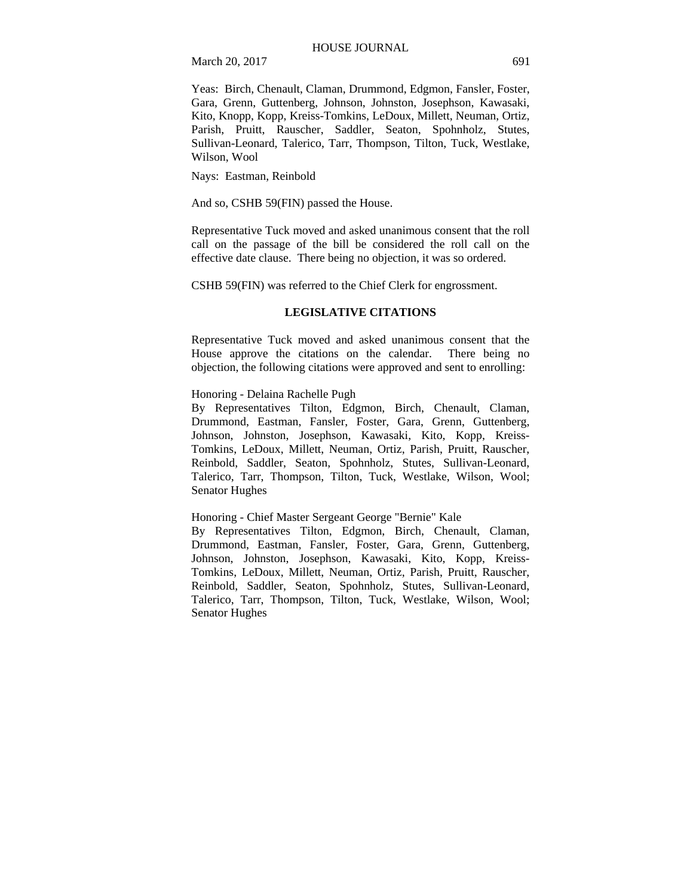March 20, 2017 691

Yeas: Birch, Chenault, Claman, Drummond, Edgmon, Fansler, Foster, Gara, Grenn, Guttenberg, Johnson, Johnston, Josephson, Kawasaki, Kito, Knopp, Kopp, Kreiss-Tomkins, LeDoux, Millett, Neuman, Ortiz, Parish, Pruitt, Rauscher, Saddler, Seaton, Spohnholz, Stutes, Sullivan-Leonard, Talerico, Tarr, Thompson, Tilton, Tuck, Westlake, Wilson, Wool

Nays: Eastman, Reinbold

And so, CSHB 59(FIN) passed the House.

Representative Tuck moved and asked unanimous consent that the roll call on the passage of the bill be considered the roll call on the effective date clause. There being no objection, it was so ordered.

CSHB 59(FIN) was referred to the Chief Clerk for engrossment.

## **LEGISLATIVE CITATIONS**

Representative Tuck moved and asked unanimous consent that the House approve the citations on the calendar. There being no objection, the following citations were approved and sent to enrolling:

## Honoring - Delaina Rachelle Pugh

By Representatives Tilton, Edgmon, Birch, Chenault, Claman, Drummond, Eastman, Fansler, Foster, Gara, Grenn, Guttenberg, Johnson, Johnston, Josephson, Kawasaki, Kito, Kopp, Kreiss-Tomkins, LeDoux, Millett, Neuman, Ortiz, Parish, Pruitt, Rauscher, Reinbold, Saddler, Seaton, Spohnholz, Stutes, Sullivan-Leonard, Talerico, Tarr, Thompson, Tilton, Tuck, Westlake, Wilson, Wool; Senator Hughes

#### Honoring - Chief Master Sergeant George "Bernie" Kale

By Representatives Tilton, Edgmon, Birch, Chenault, Claman, Drummond, Eastman, Fansler, Foster, Gara, Grenn, Guttenberg, Johnson, Johnston, Josephson, Kawasaki, Kito, Kopp, Kreiss-Tomkins, LeDoux, Millett, Neuman, Ortiz, Parish, Pruitt, Rauscher, Reinbold, Saddler, Seaton, Spohnholz, Stutes, Sullivan-Leonard, Talerico, Tarr, Thompson, Tilton, Tuck, Westlake, Wilson, Wool; Senator Hughes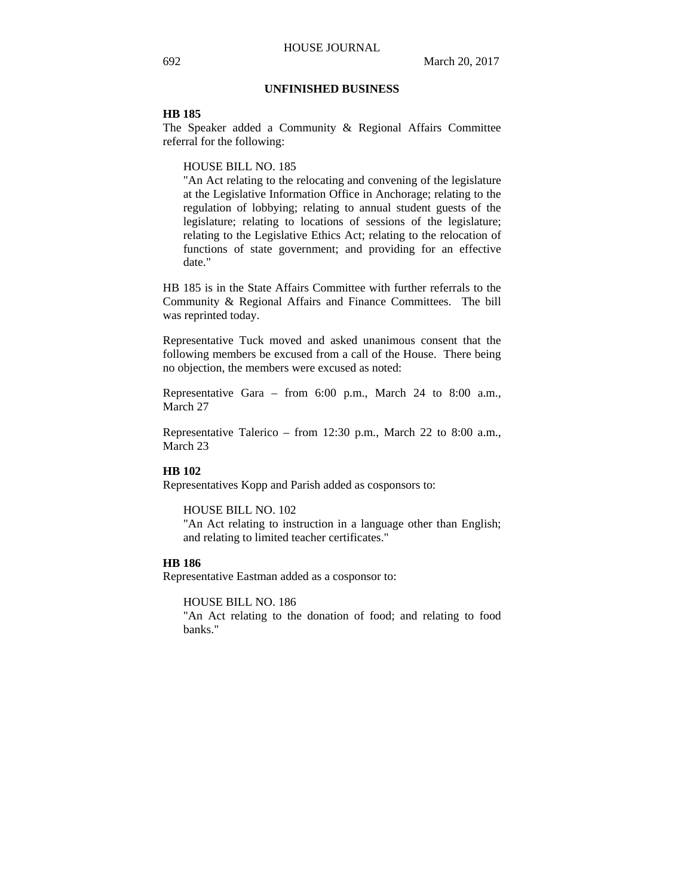## **UNFINISHED BUSINESS**

## **HB 185**

The Speaker added a Community & Regional Affairs Committee referral for the following:

#### HOUSE BILL NO. 185

"An Act relating to the relocating and convening of the legislature at the Legislative Information Office in Anchorage; relating to the regulation of lobbying; relating to annual student guests of the legislature; relating to locations of sessions of the legislature; relating to the Legislative Ethics Act; relating to the relocation of functions of state government; and providing for an effective date."

HB 185 is in the State Affairs Committee with further referrals to the Community & Regional Affairs and Finance Committees. The bill was reprinted today.

Representative Tuck moved and asked unanimous consent that the following members be excused from a call of the House. There being no objection, the members were excused as noted:

Representative Gara – from 6:00 p.m., March 24 to 8:00 a.m., March 27

Representative Talerico – from 12:30 p.m., March 22 to 8:00 a.m., March 23

### **HB 102**

Representatives Kopp and Parish added as cosponsors to:

#### HOUSE BILL NO. 102

"An Act relating to instruction in a language other than English; and relating to limited teacher certificates."

## **HB 186**

Representative Eastman added as a cosponsor to:

## HOUSE BILL NO. 186

"An Act relating to the donation of food; and relating to food banks."